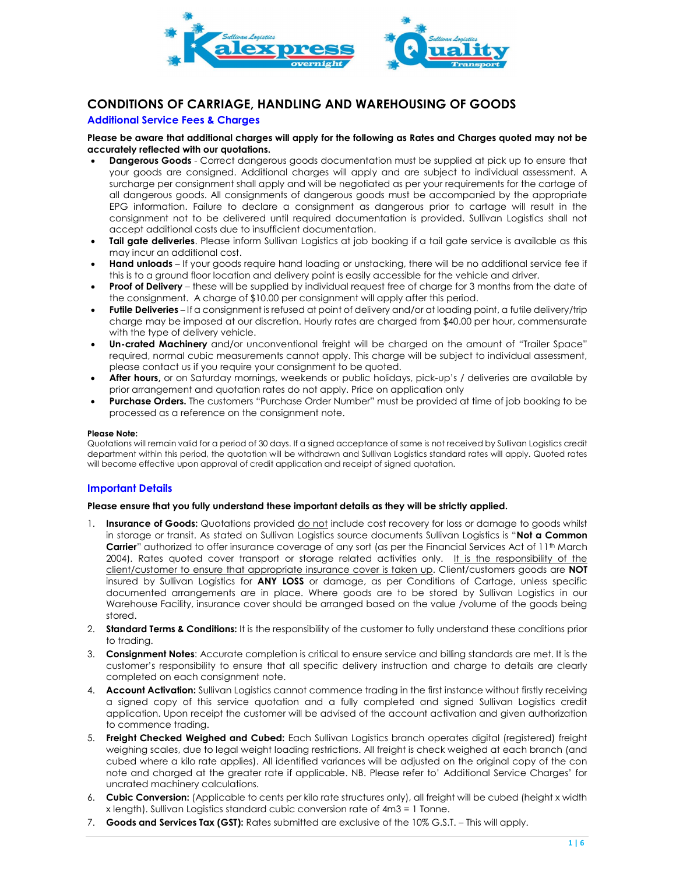

# CONDITIONS OF CARRIAGE, HANDLING AND WAREHOUSING OF GOODS

### Additional Service Fees & Charges

#### Please be aware that additional charges will apply for the following as Rates and Charges quoted may not be accurately reflected with our quotations.

- **Dangerous Goods** Correct dangerous goods documentation must be supplied at pick up to ensure that your goods are consigned. Additional charges will apply and are subject to individual assessment. A surcharge per consignment shall apply and will be negotiated as per your requirements for the cartage of all dangerous goods. All consignments of dangerous goods must be accompanied by the appropriate EPG information. Failure to declare a consignment as dangerous prior to cartage will result in the consignment not to be delivered until required documentation is provided. Sullivan Logistics shall not accept additional costs due to insufficient documentation.
- Tail gate deliveries. Please inform Sullivan Logistics at job booking if a tail gate service is available as this may incur an additional cost.
- Hand unloads If your goods require hand loading or unstacking, there will be no additional service fee if this is to a ground floor location and delivery point is easily accessible for the vehicle and driver.
- Proof of Delivery these will be supplied by individual request free of charge for 3 months from the date of the consignment. A charge of \$10.00 per consignment will apply after this period.
- Futile Deliveries If a consignment is refused at point of delivery and/or at loading point, a futile delivery/trip charge may be imposed at our discretion. Hourly rates are charged from \$40.00 per hour, commensurate with the type of delivery vehicle.
- Un-crated Machinery and/or unconventional freight will be charged on the amount of "Trailer Space" required, normal cubic measurements cannot apply. This charge will be subject to individual assessment, please contact us if you require your consignment to be quoted.
- After hours, or on Saturday mornings, weekends or public holidays, pick-up's / deliveries are available by prior arrangement and quotation rates do not apply. Price on application only
- Purchase Orders. The customers "Purchase Order Number" must be provided at time of job booking to be processed as a reference on the consignment note.

#### Please Note:

Quotations will remain valid for a period of 30 days. If a signed acceptance of same is not received by Sullivan Logistics credit department within this period, the quotation will be withdrawn and Sullivan Logistics standard rates will apply. Quoted rates will become effective upon approval of credit application and receipt of signed quotation.

# Important Details

#### Please ensure that you fully understand these important details as they will be strictly applied.

- 1. Insurance of Goods: Quotations provided do not include cost recovery for loss or damage to goods whilst in storage or transit. As stated on Sullivan Logistics source documents Sullivan Logistics is "Not a Common Carrier" authorized to offer insurance coverage of any sort (as per the Financial Services Act of 11<sup>th</sup> March 2004). Rates quoted cover transport or storage related activities only. It is the responsibility of the client/customer to ensure that appropriate insurance cover is taken up. Client/customers goods are NOT insured by Sullivan Logistics for ANY LOSS or damage, as per Conditions of Cartage, unless specific documented arrangements are in place. Where goods are to be stored by Sullivan Logistics in our Warehouse Facility, insurance cover should be arranged based on the value /volume of the goods being stored.
- 2. Standard Terms & Conditions: It is the responsibility of the customer to fully understand these conditions prior to trading.
- 3. Consignment Notes: Accurate completion is critical to ensure service and billing standards are met. It is the customer's responsibility to ensure that all specific delivery instruction and charge to details are clearly completed on each consignment note.
- 4. Account Activation: Sullivan Logistics cannot commence trading in the first instance without firstly receiving a signed copy of this service quotation and a fully completed and signed Sullivan Logistics credit application. Upon receipt the customer will be advised of the account activation and given authorization to commence trading.
- 5. Freight Checked Weighed and Cubed: Each Sullivan Logistics branch operates digital (registered) freight weighing scales, due to legal weight loading restrictions. All freight is check weighed at each branch (and cubed where a kilo rate applies). All identified variances will be adjusted on the original copy of the con note and charged at the greater rate if applicable. NB. Please refer to' Additional Service Charges' for uncrated machinery calculations.
- 6. Cubic Conversion: (Applicable to cents per kilo rate structures only), all freight will be cubed (height x width x length). Sullivan Logistics standard cubic conversion rate of 4m3 = 1 Tonne.
- 7. Goods and Services Tax (GST): Rates submitted are exclusive of the 10% G.S.T. This will apply.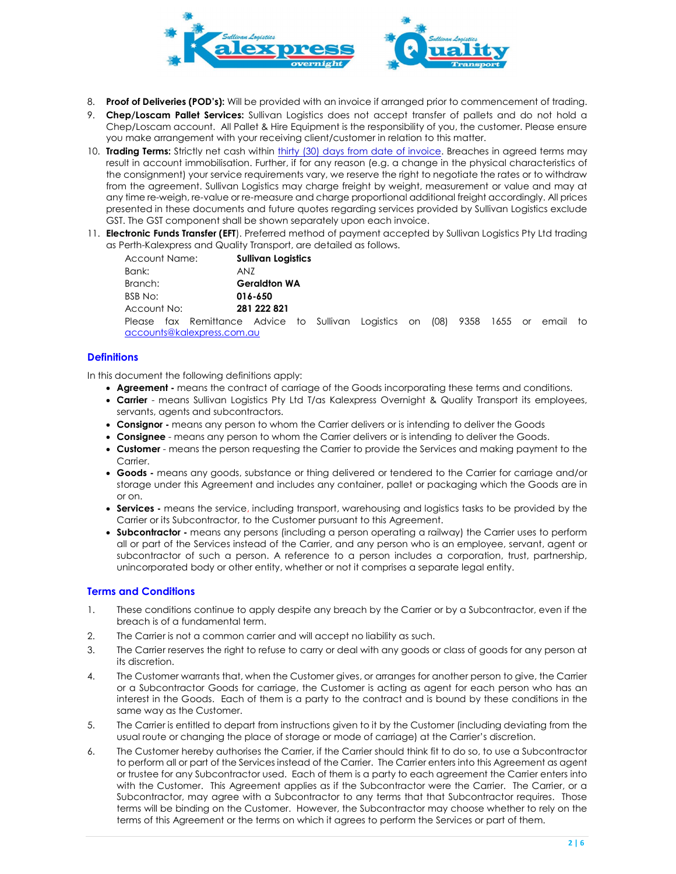

- 8. Proof of Deliveries (POD's): Will be provided with an invoice if arranged prior to commencement of trading.
- 9. Chep/Loscam Pallet Services: Sullivan Logistics does not accept transfer of pallets and do not hold a Chep/Loscam account. All Pallet & Hire Equipment is the responsibility of you, the customer. Please ensure you make arrangement with your receiving client/customer in relation to this matter.
- 10. Trading Terms: Strictly net cash within thirty (30) days from date of invoice. Breaches in agreed terms may result in account immobilisation. Further, if for any reason (e.g. a change in the physical characteristics of the consignment) your service requirements vary, we reserve the right to negotiate the rates or to withdraw from the agreement. Sullivan Logistics may charge freight by weight, measurement or value and may at any time re-weigh, re-value or re-measure and charge proportional additional freight accordingly. All prices presented in these documents and future quotes regarding services provided by Sullivan Logistics exclude GST. The GST component shall be shown separately upon each invoice.
- 11. Electronic Funds Transfer (EFT). Preferred method of payment accepted by Sullivan Logistics Pty Ltd trading as Perth-Kalexpress and Quality Transport, are detailed as follows.

| Account Name:  |  |                              | <b>Sullivan Logistics</b> |    |  |
|----------------|--|------------------------------|---------------------------|----|--|
| Bank:          |  |                              | ANZ                       |    |  |
| Branch:        |  | <b>Geraldton WA</b>          |                           |    |  |
| <b>BSB No:</b> |  | 016-650                      |                           |    |  |
| Account No:    |  | 281 222 821                  |                           |    |  |
|                |  | Please fax Remittance Advice |                           | tο |  |

Sullivan Logistics on (08) 9358 1655 or email to accounts@kalexpress.com.au

# **Definitions**

In this document the following definitions apply:

- Agreement means the contract of carriage of the Goods incorporating these terms and conditions.
- Carrier means Sullivan Logistics Pty Ltd T/as Kalexpress Overnight & Quality Transport its employees, servants, agents and subcontractors.
- Consignor means any person to whom the Carrier delivers or is intending to deliver the Goods
- Consignee means any person to whom the Carrier delivers or is intending to deliver the Goods.
- Customer means the person requesting the Carrier to provide the Services and making payment to the Carrier.
- Goods means any goods, substance or thing delivered or tendered to the Carrier for carriage and/or storage under this Agreement and includes any container, pallet or packaging which the Goods are in or on.
- **Services** means the service, including transport, warehousing and logistics tasks to be provided by the Carrier or its Subcontractor, to the Customer pursuant to this Agreement.
- Subcontractor means any persons (including a person operating a railway) the Carrier uses to perform all or part of the Services instead of the Carrier, and any person who is an employee, servant, agent or subcontractor of such a person. A reference to a person includes a corporation, trust, partnership, unincorporated body or other entity, whether or not it comprises a separate legal entity.

# Terms and Conditions

- 1. These conditions continue to apply despite any breach by the Carrier or by a Subcontractor, even if the breach is of a fundamental term.
- 2. The Carrier is not a common carrier and will accept no liability as such.
- 3. The Carrier reserves the right to refuse to carry or deal with any goods or class of goods for any person at its discretion.
- 4. The Customer warrants that, when the Customer gives, or arranges for another person to give, the Carrier or a Subcontractor Goods for carriage, the Customer is acting as agent for each person who has an interest in the Goods. Each of them is a party to the contract and is bound by these conditions in the same way as the Customer.
- 5. The Carrier is entitled to depart from instructions given to it by the Customer (including deviating from the usual route or changing the place of storage or mode of carriage) at the Carrier's discretion.
- 6. The Customer hereby authorises the Carrier, if the Carrier should think fit to do so, to use a Subcontractor to perform all or part of the Services instead of the Carrier. The Carrier enters into this Agreement as agent or trustee for any Subcontractor used. Each of them is a party to each agreement the Carrier enters into with the Customer. This Agreement applies as if the Subcontractor were the Carrier. The Carrier, or a Subcontractor, may agree with a Subcontractor to any terms that that Subcontractor requires. Those terms will be binding on the Customer. However, the Subcontractor may choose whether to rely on the terms of this Agreement or the terms on which it agrees to perform the Services or part of them.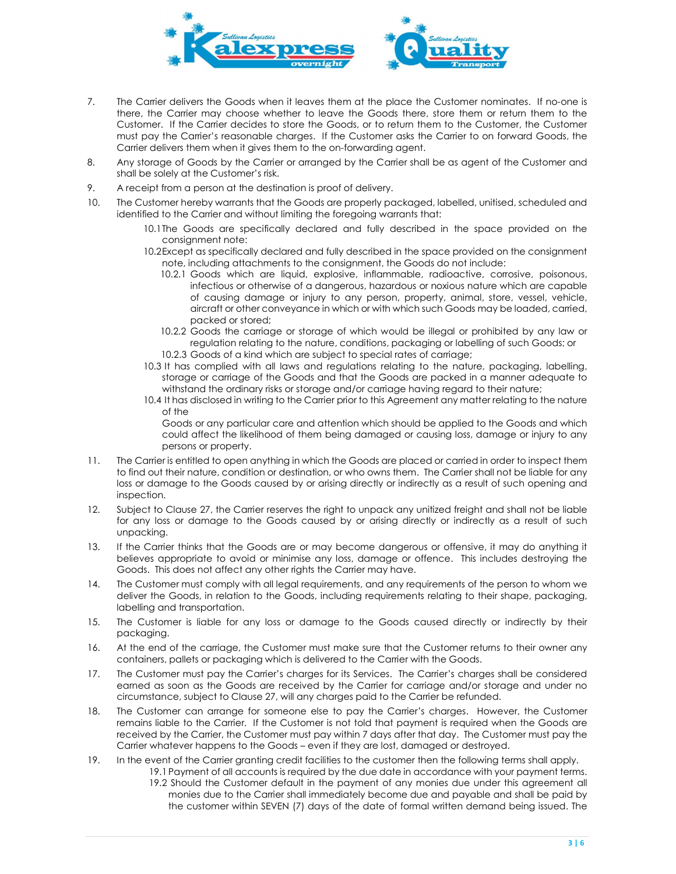

- 7. The Carrier delivers the Goods when it leaves them at the place the Customer nominates. If no-one is there, the Carrier may choose whether to leave the Goods there, store them or return them to the Customer. If the Carrier decides to store the Goods, or to return them to the Customer, the Customer must pay the Carrier's reasonable charges. If the Customer asks the Carrier to on forward Goods, the Carrier delivers them when it gives them to the on-forwarding agent.
- 8. Any storage of Goods by the Carrier or arranged by the Carrier shall be as agent of the Customer and shall be solely at the Customer's risk.
- 9. A receipt from a person at the destination is proof of delivery.
- 10. The Customer hereby warrants that the Goods are properly packaged, labelled, unitised, scheduled and identified to the Carrier and without limiting the foregoing warrants that:
	- 10.1The Goods are specifically declared and fully described in the space provided on the consignment note:
	- 10.2Except as specifically declared and fully described in the space provided on the consignment note, including attachments to the consignment, the Goods do not include:
		- 10.2.1 Goods which are liquid, explosive, inflammable, radioactive, corrosive, poisonous, infectious or otherwise of a dangerous, hazardous or noxious nature which are capable of causing damage or injury to any person, property, animal, store, vessel, vehicle, aircraft or other conveyance in which or with which such Goods may be loaded, carried, packed or stored;
		- 10.2.2 Goods the carriage or storage of which would be illegal or prohibited by any law or regulation relating to the nature, conditions, packaging or labelling of such Goods; or
		- 10.2.3 Goods of a kind which are subject to special rates of carriage;
	- 10.3 It has complied with all laws and regulations relating to the nature, packaging, labelling, storage or carriage of the Goods and that the Goods are packed in a manner adequate to withstand the ordinary risks or storage and/or carriage having regard to their nature;
	- 10.4 It has disclosed in writing to the Carrier prior to this Agreement any matter relating to the nature of the

Goods or any particular care and attention which should be applied to the Goods and which could affect the likelihood of them being damaged or causing loss, damage or injury to any persons or property.

- 11. The Carrier is entitled to open anything in which the Goods are placed or carried in order to inspect them to find out their nature, condition or destination, or who owns them. The Carrier shall not be liable for any loss or damage to the Goods caused by or arising directly or indirectly as a result of such opening and inspection.
- 12. Subject to Clause 27, the Carrier reserves the right to unpack any unitized freight and shall not be liable for any loss or damage to the Goods caused by or arising directly or indirectly as a result of such unpacking.
- 13. If the Carrier thinks that the Goods are or may become dangerous or offensive, it may do anything it believes appropriate to avoid or minimise any loss, damage or offence. This includes destroying the Goods. This does not affect any other rights the Carrier may have.
- 14. The Customer must comply with all legal requirements, and any requirements of the person to whom we deliver the Goods, in relation to the Goods, including requirements relating to their shape, packaging, labelling and transportation.
- 15. The Customer is liable for any loss or damage to the Goods caused directly or indirectly by their packaging.
- 16. At the end of the carriage, the Customer must make sure that the Customer returns to their owner any containers, pallets or packaging which is delivered to the Carrier with the Goods.
- 17. The Customer must pay the Carrier's charges for its Services. The Carrier's charges shall be considered earned as soon as the Goods are received by the Carrier for carriage and/or storage and under no circumstance, subject to Clause 27, will any charges paid to the Carrier be refunded.
- 18. The Customer can arrange for someone else to pay the Carrier's charges. However, the Customer remains liable to the Carrier. If the Customer is not told that payment is required when the Goods are received by the Carrier, the Customer must pay within 7 days after that day. The Customer must pay the Carrier whatever happens to the Goods – even if they are lost, damaged or destroyed.
- 19. In the event of the Carrier granting credit facilities to the customer then the following terms shall apply. 19.1 Payment of all accounts is required by the due date in accordance with your payment terms.
	- 19.2 Should the Customer default in the payment of any monies due under this agreement all monies due to the Carrier shall immediately become due and payable and shall be paid by the customer within SEVEN (7) days of the date of formal written demand being issued. The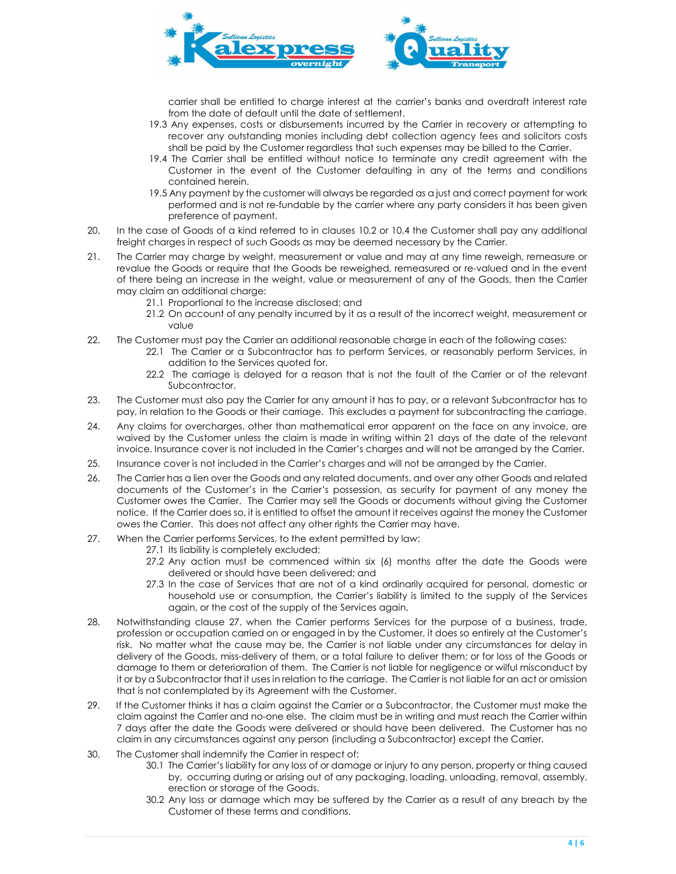

carrier shall be entitled to charge interest at the carrier's banks and overdraft interest rate from the date of default until the date of settlement.

- 19.3 Any expenses, costs or disbursements incurred by the Carrier in recovery or attempting to recover any outstanding monies including debt collection agency fees and solicitors costs shall be paid by the Customer regardless that such expenses may be billed to the Carrier.
- 19.4 The Carrier shall be entitled without notice to terminate any credit agreement with the Customer in the event of the Customer defaulting in any of the terms and conditions contained herein.
- 19.5 Any payment by the customer will always be regarded as a just and correct payment for work performed and is not re-fundable by the carrier where any party considers it has been given preference of payment.
- 20. In the case of Goods of a kind referred to in clauses 10.2 or 10.4 the Customer shall pay any additional freight charges in respect of such Goods as may be deemed necessary by the Carrier.
- 21. The Carrier may charge by weight, measurement or value and may at any time reweigh, remeasure or revalue the Goods or require that the Goods be reweighed, remeasured or re-valued and in the event of there being an increase in the weight, value or measurement of any of the Goods, then the Carrier may claim an additional charge:
	- 21.1 Proportional to the increase disclosed; and
	- 21.2 On account of any penalty incurred by it as a result of the incorrect weight, measurement or value
- 22. The Customer must pay the Carrier an additional reasonable charge in each of the following cases:
	- 22.1 The Carrier or a Subcontractor has to perform Services, or reasonably perform Services, in addition to the Services quoted for.
	- 22.2 The carriage is delayed for a reason that is not the fault of the Carrier or of the relevant Subcontractor.
- 23. The Customer must also pay the Carrier for any amount it has to pay, or a relevant Subcontractor has to pay, in relation to the Goods or their carriage. This excludes a payment for subcontracting the carriage.
- 24. Any claims for overcharges, other than mathematical error apparent on the face on any invoice, are waived by the Customer unless the claim is made in writing within 21 days of the date of the relevant invoice. Insurance cover is not included in the Carrier's charges and will not be arranged by the Carrier.
- 25. Insurance cover is not included in the Carrier's charges and will not be arranged by the Carrier.
- 26. The Carrier has a lien over the Goods and any related documents, and over any other Goods and related documents of the Customer's in the Carrier's possession, as security for payment of any money the Customer owes the Carrier. The Carrier may sell the Goods or documents without giving the Customer notice. If the Carrier does so, it is entitled to offset the amount it receives against the money the Customer owes the Carrier. This does not affect any other rights the Carrier may have.
- 27. When the Carrier performs Services, to the extent permitted by law:
	- 27.1 Its liability is completely excluded;
	- 27.2 Any action must be commenced within six (6) months after the date the Goods were delivered or should have been delivered; and
	- 27.3 In the case of Services that are not of a kind ordinarily acquired for personal, domestic or household use or consumption, the Carrier's liability is limited to the supply of the Services again, or the cost of the supply of the Services again.
- 28. Notwithstanding clause 27, when the Carrier performs Services for the purpose of a business, trade, profession or occupation carried on or engaged in by the Customer, it does so entirely at the Customer's risk. No matter what the cause may be, the Carrier is not liable under any circumstances for delay in delivery of the Goods, miss-delivery of them, or a total failure to deliver them; or for loss of the Goods or damage to them or deterioration of them. The Carrier is not liable for negligence or wilful misconduct by it or by a Subcontractor that it uses in relation to the carriage. The Carrier is not liable for an act or omission that is not contemplated by its Agreement with the Customer.
- 29. If the Customer thinks it has a claim against the Carrier or a Subcontractor, the Customer must make the claim against the Carrier and no-one else. The claim must be in writing and must reach the Carrier within 7 days after the date the Goods were delivered or should have been delivered. The Customer has no claim in any circumstances against any person (including a Subcontractor) except the Carrier.
- 30. The Customer shall indemnify the Carrier in respect of:
	- 30.1 The Carrier's liability for any loss of or damage or injury to any person, property or thing caused by, occurring during or arising out of any packaging, loading, unloading, removal, assembly, erection or storage of the Goods.
	- 30.2 Any loss or damage which may be suffered by the Carrier as a result of any breach by the Customer of these terms and conditions.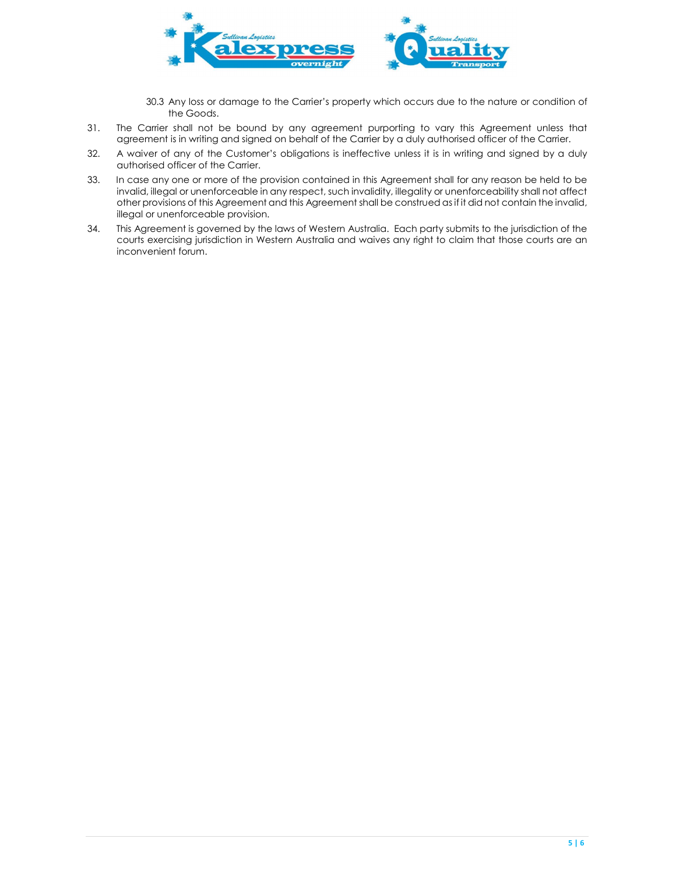

- 30.3 Any loss or damage to the Carrier's property which occurs due to the nature or condition of the Goods.
- 31. The Carrier shall not be bound by any agreement purporting to vary this Agreement unless that agreement is in writing and signed on behalf of the Carrier by a duly authorised officer of the Carrier.
- 32. A waiver of any of the Customer's obligations is ineffective unless it is in writing and signed by a duly authorised officer of the Carrier.
- 33. In case any one or more of the provision contained in this Agreement shall for any reason be held to be invalid, illegal or unenforceable in any respect, such invalidity, illegality or unenforceability shall not affect other provisions of this Agreement and this Agreement shall be construed as if it did not contain the invalid, illegal or unenforceable provision.
- 34. This Agreement is governed by the laws of Western Australia. Each party submits to the jurisdiction of the courts exercising jurisdiction in Western Australia and waives any right to claim that those courts are an inconvenient forum.